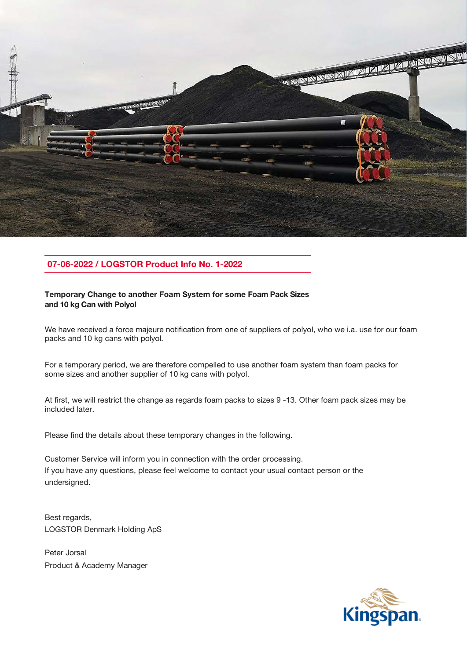

# 07-06-2022 / LOGSTOR Product Info No. 1-2022

## Temporary Change to another Foam System for some Foam Pack Sizes and 10 kg Can with Polyol

We have received a force majeure notification from one of suppliers of polyol, who we i.a. use for our foam packs and 10 kg cans with polyol.

For a temporary period, we are therefore compelled to use another foam system than foam packs for some sizes and another supplier of 10 kg cans with polyol.

At first, we will restrict the change as regards foam packs to sizes 9 -13. Other foam pack sizes may be included later.

Please find the details about these temporary changes in the following.

Customer Service will inform you in connection with the order processing. If you have any questions, please feel welcome to contact your usual contact person or the undersigned.

Best regards, LOGSTOR Denmark Holding ApS

Peter Jorsal Product & Academy Manager

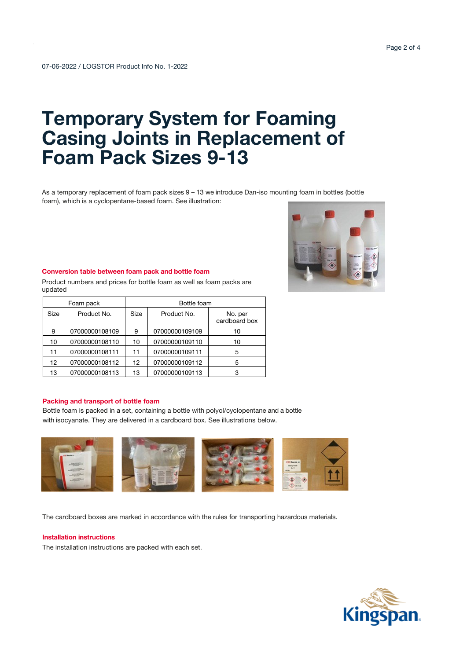# Temporary System for Foaming Casing Joints in Replacement of Foam Pack Sizes 9-13

As a temporary replacement of foam pack sizes 9 – 13 we introduce Dan-iso mounting foam in bottles (bottle foam), which is a cyclopentane-based foam. See illustration:

### Conversion table between foam pack and bottle foam

Product numbers and prices for bottle foam as well as foam packs are updated

| Foam pack |                | Bottle foam |                |                          |
|-----------|----------------|-------------|----------------|--------------------------|
| Size      | Product No.    | Size        | Product No.    | No. per<br>cardboard box |
| 9         | 07000000108109 | 9           | 07000000109109 | 10                       |
| 10        | 07000000108110 | 10          | 07000000109110 | 10                       |
| 11        | 07000000108111 | 11          | 07000000109111 | 5                        |
| 12        | 07000000108112 | 12          | 07000000109112 | 5                        |
| 13        | 07000000108113 | 13          | 07000000109113 | 3                        |

#### Packing and transport of bottle foam

Bottle foam is packed in a set, containing a bottle with polyol/cyclopentane and a bottle with isocyanate. They are delivered in a cardboard box. See illustrations below.



The cardboard boxes are marked in accordance with the rules for transporting hazardous materials.

## Installation instructions

The installation instructions are packed with each set.





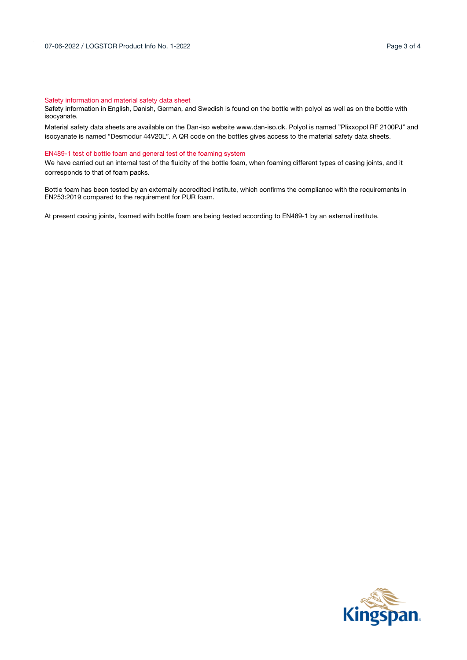#### Safety information and material safety data sheet

Safety information in English, Danish, German, and Swedish is found on the bottle with polyol as well as on the bottle with isocyanate.

Material safety data sheets are available on the Dan-iso websit[e www.dan-iso.dk.](http://www.dan-iso.dk/) Polyol is named "Plixxopol RF 2100PJ" and isocyanate is named "Desmodur 44V20L". A QR code on the bottles gives access to the material safety data sheets.

#### EN489-1 test of bottle foam and general test of the foaming system

We have carried out an internal test of the fluidity of the bottle foam, when foaming different types of casing joints, and it corresponds to that of foam packs.

Bottle foam has been tested by an externally accredited institute, which confirms the compliance with the requirements in EN253:2019 compared to the requirement for PUR foam.

At present casing joints, foamed with bottle foam are being tested according to EN489-1 by an external institute.